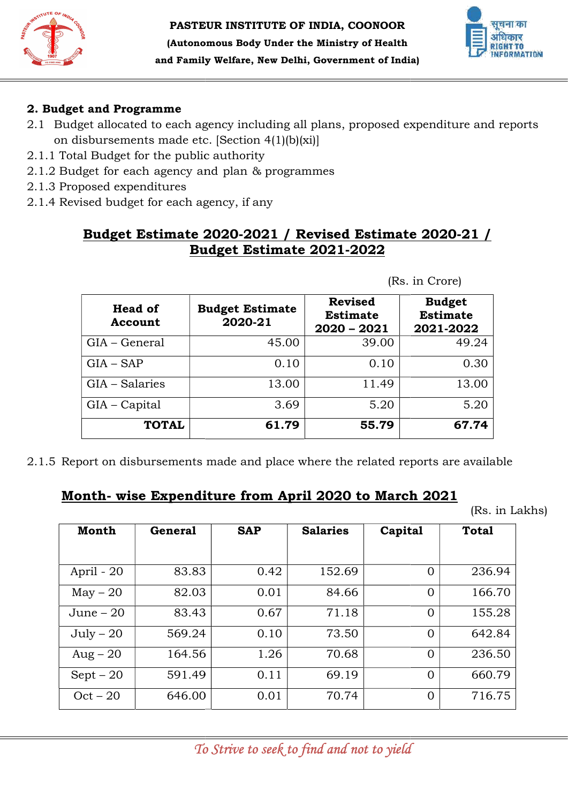



# 2. Budget and Programme

- 2.1 Budget allocated to each agency including all plans, proposed expenditure and reports on disbursements made etc. [Section 4(1)(b)(xi)]
- 2.1.1 Total Budget for the public
- 2.1.2 Budget for each agency and plan & programmes
- 2.1.3 Proposed expenditures
- 2.1.4 Revised budget for each agency, if any

# Budget Estimate 2020-2021 / Revised Estimate 2020-21 / Budget Estimate 2021 Budget Estimate 2021-2022

| <b>Head of</b><br>Account | <b>Budget Estimate</b><br>2020-21 | <b>Revised</b><br><b>Estimate</b><br>$2020 - 2021$ | <b>Budget</b><br><b>Estimate</b><br>2021-2022 |
|---------------------------|-----------------------------------|----------------------------------------------------|-----------------------------------------------|
| GIA - General             | 45.00                             | 39.00                                              | 49.24                                         |
| $GIA - SAP$               | 0.10                              | 0.10                                               | 0.30                                          |
| GIA - Salaries            | 13.00                             | 11.49                                              | 13.00                                         |
| GIA – Capital             | 3.69                              | 5.20                                               | 5.20                                          |
| <b>TOTAL</b>              | 61.79                             | 55.79                                              | 67.74                                         |

2.1.5 Report on disbursements made and place where the related reports are are available

# <u>Month- wise Expenditure from April 2020 to March 2021</u>

(Rs. in Lakhs)

|                | Proposed expenditures<br>Revised budget for each agency, if any |       |                                   | <u>Budget Estimate 2020-2021 / Revised Estimate 2020-21 /</u><br><b>Budget Estimate 2021-2022</b> |         |                                               |              |
|----------------|-----------------------------------------------------------------|-------|-----------------------------------|---------------------------------------------------------------------------------------------------|---------|-----------------------------------------------|--------------|
|                |                                                                 |       |                                   |                                                                                                   |         | (Rs. in Crore)                                |              |
|                | <b>Head of</b><br>Account                                       |       | <b>Budget Estimate</b><br>2020-21 | <b>Revised</b><br><b>Estimate</b><br>$2020 - 2021$                                                |         | <b>Budget</b><br><b>Estimate</b><br>2021-2022 |              |
| GIA - General  |                                                                 |       | 45.00                             |                                                                                                   | 39.00   |                                               | 49.24        |
| $GIA - SAP$    |                                                                 |       | 0.10                              |                                                                                                   | 0.10    |                                               | 0.30         |
| GIA - Salaries |                                                                 | 13.00 |                                   |                                                                                                   | 11.49   |                                               |              |
|                |                                                                 |       |                                   |                                                                                                   |         |                                               | 13.00        |
| GIA - Capital  |                                                                 |       | 3.69                              |                                                                                                   | 5.20    |                                               | 5.20         |
|                | <b>TOTAL</b>                                                    |       | 61.79                             | Report on disbursements made and place where the related reports are available                    | 55.79   |                                               | 67.74        |
|                |                                                                 |       |                                   | <u>Month- wise Expenditure from April 2020 to March 2021</u>                                      |         |                                               | (Rs. in L)   |
| <b>Month</b>   | <b>General</b>                                                  |       | <b>SAP</b>                        | <b>Salaries</b>                                                                                   | Capital |                                               | <b>Total</b> |
| April - 20     | 83.83                                                           |       | 0.42                              | 152.69                                                                                            |         | $\Omega$                                      | 236.94       |
| $May - 20$     | 82.03                                                           |       | 0.01                              | 84.66                                                                                             |         | $\mathbf 0$                                   | 166.70       |
| June $-20$     | 83.43                                                           |       | 0.67                              | 71.18                                                                                             |         | $\Omega$                                      | 155.28       |
| $July - 20$    | 569.24                                                          |       | 0.10                              | 73.50                                                                                             |         | $\mathbf 0$                                   | 642.84       |
| $Aug - 20$     | 164.56                                                          |       | 1.26                              | 70.68                                                                                             |         | $\mathbf 0$                                   | 236.50       |
| $Sept - 20$    | 591.49                                                          |       | 0.11                              | 69.19                                                                                             |         | $\Omega$                                      | 660.79       |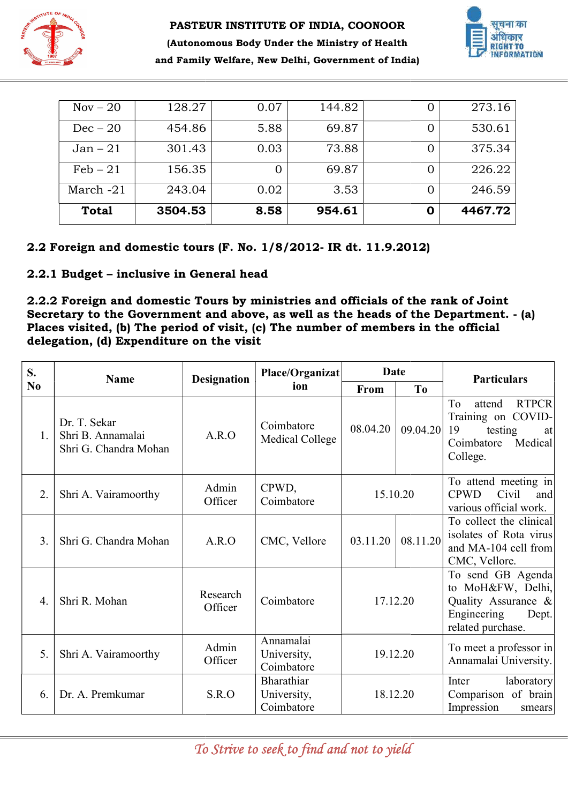



| $Nov - 20$   | 128.27  | 0.07 | 144.82 |   | 273.16  |
|--------------|---------|------|--------|---|---------|
| $Dec - 20$   | 454.86  | 5.88 | 69.87  | O | 530.61  |
| $Jan-21$     | 301.43  | 0.03 | 73.88  |   | 375.34  |
| $Feb-21$     | 156.35  | O    | 69.87  |   | 226.22  |
| March $-21$  | 243.04  | 0.02 | 3.53   |   | 246.59  |
| <b>Total</b> | 3504.53 | 8.58 | 954.61 | O | 4467.72 |

# 2.2 Foreign and domestic tours (F. No. 1/8/2012- IR dt. 11.9.2012)

|                | $Nov - 20$                                                                                                                                                                                                                                                                                                                            | 128.27  |                     | 0.07                                   | 144.82      | 0              | 273.16                                                                                                         |
|----------------|---------------------------------------------------------------------------------------------------------------------------------------------------------------------------------------------------------------------------------------------------------------------------------------------------------------------------------------|---------|---------------------|----------------------------------------|-------------|----------------|----------------------------------------------------------------------------------------------------------------|
|                | $Dec-20$                                                                                                                                                                                                                                                                                                                              | 454.86  |                     | 5.88                                   | 69.87       | $\theta$       | 530.61                                                                                                         |
|                | $Jan - 21$                                                                                                                                                                                                                                                                                                                            | 301.43  |                     | 0.03                                   | 73.88       | $\Omega$       | 375.34                                                                                                         |
|                | $Feb-21$                                                                                                                                                                                                                                                                                                                              | 156.35  |                     | $\Omega$                               | 69.87       | $\Omega$       | 226.22                                                                                                         |
|                | March-21                                                                                                                                                                                                                                                                                                                              | 243.04  |                     | 0.02                                   | 3.53        | $\overline{0}$ | 246.59                                                                                                         |
|                | <b>Total</b>                                                                                                                                                                                                                                                                                                                          | 3504.53 |                     | 8.58                                   | 954.61      | $\mathbf 0$    | 4467.72                                                                                                        |
|                | 2.2 Foreign and domestic tours (F. No. 1/8/2012- IR dt. 11.9.2012)<br>2.2.1 Budget - inclusive in General head<br>2.2.2 Foreign and domestic Tours by ministries and officials of the rank of Joint<br>Places visited, (b) The period of visit, (c) The number of members in the official<br>delegation, (d) Expenditure on the visit |         |                     |                                        |             |                | Secretary to the Government and above, as well as the heads of the Department. - (a)                           |
| S.             |                                                                                                                                                                                                                                                                                                                                       |         |                     | Place/Organizat                        |             | Date           |                                                                                                                |
| N <sub>0</sub> | <b>Name</b>                                                                                                                                                                                                                                                                                                                           |         | <b>Designation</b>  | ion                                    | <b>From</b> | T <sub>0</sub> | <b>Particulars</b>                                                                                             |
| 1.             | Dr. T. Sekar<br>Shri B. Annamalai<br>Shri G. Chandra Mohan                                                                                                                                                                                                                                                                            |         | A.R.O               | Coimbatore<br>Medical College          | 08.04.20    | 09.04.20       | <b>RTPCR</b><br>To<br>attend<br>Training on COVID-<br>19<br>testing<br>at<br>Coimbatore<br>Medical<br>College. |
| 2.             | Shri A. Vairamoorthy                                                                                                                                                                                                                                                                                                                  |         | Admin<br>Officer    | CPWD,<br>Coimbatore                    |             | 15.10.20       | To attend meeting in<br><b>CPWD</b><br>Civil<br>and<br>various official work.                                  |
|                |                                                                                                                                                                                                                                                                                                                                       |         |                     |                                        |             |                |                                                                                                                |
| 3.             | Shri G. Chandra Mohan                                                                                                                                                                                                                                                                                                                 |         | A.R.O               | CMC, Vellore                           | 03.11.20    | 08.11.20       | To collect the clinical<br>isolates of Rota virus<br>and MA-104 cell from<br>CMC, Vellore.                     |
| 4.             | Shri R. Mohan                                                                                                                                                                                                                                                                                                                         |         | Research<br>Officer | Coimbatore                             |             | 17.12.20       | To send GB Agenda<br>to MoH&FW, Delhi,<br>Quality Assurance &<br>Engineering<br>Dept.                          |
| 5.             | Shri A. Vairamoorthy                                                                                                                                                                                                                                                                                                                  |         | Admin<br>Officer    | Annamalai<br>University,<br>Coimbatore |             | 19.12.20       | related purchase.<br>To meet a professor in<br>Annamalai University.                                           |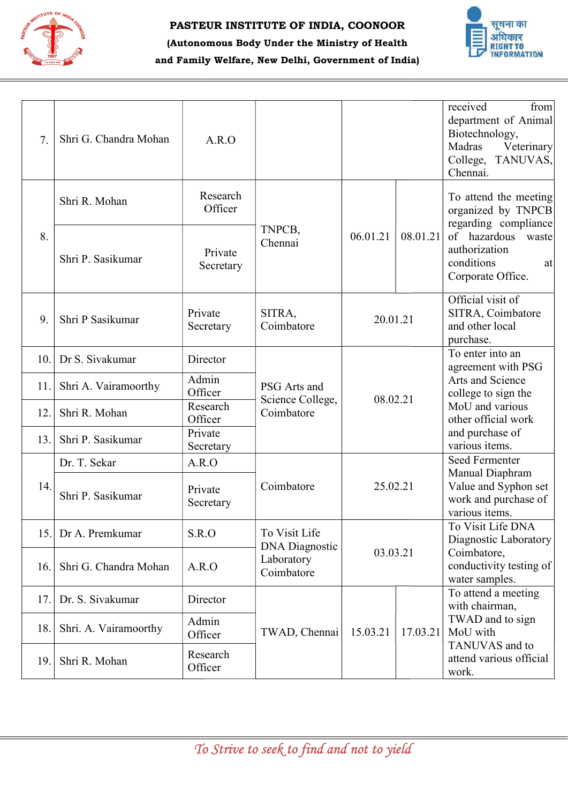

#### PASTE PASTEUR INSTITUTE OF INDIA, COONOOR

# हिमायत आवेदगार **AATION**

## (Autonomous Body Under the Ministry of Health and Family Welfare, New Delhi, Government of India)

| 7.  | Shri G. Chandra Mohan | A.R.O                |                                                   |          |          | received<br>from<br>department of Animal<br>Biotechnology,<br>Madras<br>Veterinary<br>College, TANUVAS,<br>Chennai. |
|-----|-----------------------|----------------------|---------------------------------------------------|----------|----------|---------------------------------------------------------------------------------------------------------------------|
|     | Shri R. Mohan         | Research<br>Officer  |                                                   |          |          | To attend the meeting<br>organized by TNPCB<br>regarding compliance                                                 |
| 8.  | Shri P. Sasikumar     | Private<br>Secretary | TNPCB,<br>Chennai                                 | 06.01.21 | 08.01.21 | of hazardous<br>waste<br>authorization<br>conditions<br>at<br>Corporate Office.                                     |
| 9.  | Shri P Sasikumar      | Private<br>Secretary | SITRA,<br>Coimbatore                              | 20.01.21 |          | Official visit of<br>SITRA, Coimbatore<br>and other local<br>purchase.                                              |
| 10. | Dr S. Sivakumar       | Director             |                                                   |          |          | To enter into an<br>agreement with PSG                                                                              |
| 11. | Shri A. Vairamoorthy  | Admin<br>Officer     | PSG Arts and<br>Science College,                  | 08.02.21 |          | Arts and Science<br>college to sign the                                                                             |
| 12. | Shri R. Mohan         | Research<br>Officer  | Coimbatore                                        |          |          | MoU and various<br>other official work                                                                              |
| 13. | Shri P. Sasikumar     | Private<br>Secretary |                                                   |          |          | and purchase of<br>various items.                                                                                   |
|     | Dr. T. Sekar          | A.R.O                |                                                   |          |          | Seed Fermenter<br>Manual Diaphram                                                                                   |
| 14. | Shri P. Sasikumar     | Private<br>Secretary | Coimbatore                                        | 25.02.21 |          | Value and Syphon set<br>work and purchase of<br>various items.                                                      |
| 15. | Dr A. Premkumar       | S.R.O                | To Visit Life                                     |          |          | To Visit Life DNA<br>Diagnostic Laboratory                                                                          |
| 16. | Shri G. Chandra Mohan | A.R.O                | <b>DNA</b> Diagnostic<br>Laboratory<br>Coimbatore | 03.03.21 |          | Coimbatore,<br>conductivity testing of<br>water samples.                                                            |
| 17. | Dr. S. Sivakumar      | Director             |                                                   |          |          | To attend a meeting<br>with chairman,                                                                               |
| 18. | Shri. A. Vairamoorthy | Admin<br>Officer     | TWAD, Chennai                                     | 15.03.21 | 17.03.21 | TWAD and to sign<br>MoU with                                                                                        |
| 19. | Shri R. Mohan         | Research<br>Officer  |                                                   |          |          | TANUVAS and to<br>attend various official<br>work.                                                                  |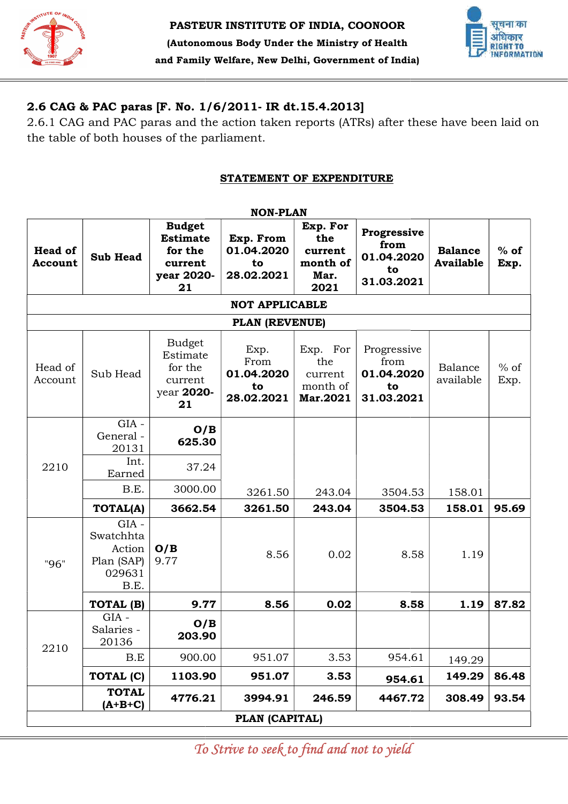



# 2.6 CAG & PAC paras [F. No. 1/6/2011- IR dt.15.4.2013]

#### STATEMENT OF EXPENDITURE

|                           |                                                                |                                                                            | STATEMENT OF EXPENDITURE                       |                                                        |                                                       |                                    |                |
|---------------------------|----------------------------------------------------------------|----------------------------------------------------------------------------|------------------------------------------------|--------------------------------------------------------|-------------------------------------------------------|------------------------------------|----------------|
|                           |                                                                |                                                                            | <b>NON-PLAN</b>                                |                                                        |                                                       |                                    |                |
| <b>Head of</b><br>Account | <b>Sub Head</b>                                                | <b>Budget</b><br><b>Estimate</b><br>for the<br>current<br>year 2020-<br>21 | Exp. From<br>01.04.2020<br>to<br>28.02.2021    | Exp. For<br>the<br>current<br>month of<br>Mar.<br>2021 | Progressive<br>from<br>01.04.2020<br>to<br>31.03.2021 | <b>Balance</b><br><b>Available</b> | $%$ of<br>Exp. |
|                           |                                                                |                                                                            | <b>NOT APPLICABLE</b>                          |                                                        |                                                       |                                    |                |
|                           |                                                                |                                                                            | PLAN (REVENUE)                                 |                                                        |                                                       |                                    |                |
| Head of<br>Account        | Sub Head                                                       | <b>Budget</b><br>Estimate<br>for the<br>current<br>year 2020-<br>21        | Exp.<br>From<br>01.04.2020<br>to<br>28.02.2021 | Exp. For<br>the<br>current<br>month of<br>Mar.2021     | Progressive<br>from<br>01.04.2020<br>to<br>31.03.2021 | Balance<br>available               | $%$ of<br>Exp. |
|                           | $GIA -$<br>General-<br>20131                                   | O/B<br>625.30                                                              |                                                |                                                        |                                                       |                                    |                |
| 2210                      | Int.<br>Earned                                                 | 37.24                                                                      |                                                |                                                        |                                                       |                                    |                |
|                           | B.E.                                                           | 3000.00                                                                    | 3261.50                                        | 243.04                                                 | 3504.53                                               | 158.01                             |                |
|                           | <b>TOTAL(A)</b>                                                | 3662.54                                                                    | 3261.50                                        | 243.04                                                 | 3504.53                                               | 158.01                             | 95.69          |
| "96"                      | $GIA -$<br>Swatchhta<br>Action<br>Plan (SAP)<br>029631<br>B.E. | O/B<br>9.77                                                                | 8.56                                           | 0.02                                                   | 8.58                                                  | 1.19                               |                |
|                           | TOTAL (B)                                                      | 9.77                                                                       | 8.56                                           | 0.02                                                   | 8.58                                                  | 1.19                               | 87.82          |
|                           | $GIA -$<br>Salaries -<br>20136                                 | O/B<br>203.90                                                              |                                                |                                                        |                                                       |                                    |                |
| 2210                      | B.E                                                            | 900.00                                                                     | 951.07                                         | 3.53                                                   | 954.61                                                | 149.29                             |                |
|                           | TOTAL (C)                                                      | 1103.90                                                                    | 951.07                                         | 3.53                                                   | 954.61                                                | 149.29                             | 86.48          |
|                           | <b>TOTAL</b><br>$(A+B+C)$                                      | 4776.21                                                                    | 3994.91                                        | 246.59                                                 | 4467.72                                               | 308.49                             | 93.54          |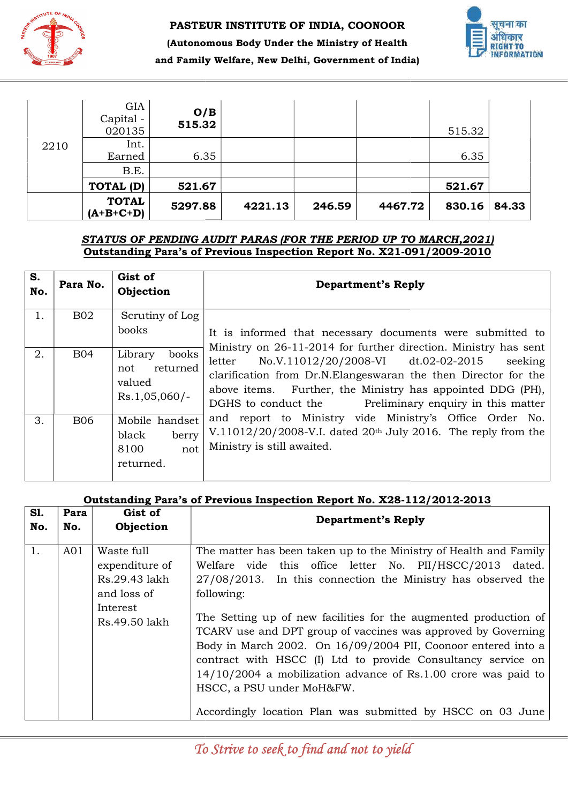

#### PASTE PASTEUR INSTITUTE OF INDIA, COONOOR



# (Autonomous Body Under the Ministry of Health and Family Welfare, New Delhi, Government of India)

|      | B.E.<br>TOTAL (D)                         | 521.67        |  | 521.67 |  |
|------|-------------------------------------------|---------------|--|--------|--|
| 2210 | Earned                                    | 6.35          |  | 6.35   |  |
|      | <b>GIA</b><br>Capital -<br>020135<br>Int. | O/B<br>515.32 |  | 515.32 |  |

#### STATUS OF PENDING AUDIT PARAS (FOR THE PERIOD UP TO MARCH,2021) Outstanding Para's of Previous Inspection Report No. X21-091/2009-2010

| S.<br>No. | Para No.   | Gist of<br>Objection                                             | <b>Department's Reply</b>                                                                                                                                                                                                                                                                                                  |
|-----------|------------|------------------------------------------------------------------|----------------------------------------------------------------------------------------------------------------------------------------------------------------------------------------------------------------------------------------------------------------------------------------------------------------------------|
| 1.        | <b>B02</b> | Scrutiny of Log<br>books                                         | It is informed that necessary documents were submitted to                                                                                                                                                                                                                                                                  |
| 2.        | <b>B04</b> | books<br>Library<br>returned<br>not<br>valued<br>$Rs.1,05,060/-$ | Ministry on 26-11-2014 for further direction. Ministry has sent<br>No.V.11012/20/2008-VI dt.02-02-2015<br>seeking<br>letter<br>clarification from Dr.N. Elanges waran the then Director for the<br>above items. Further, the Ministry has appointed DDG (PH),<br>Preliminary enquiry in this matter<br>DGHS to conduct the |
| 3.        | <b>B06</b> | Mobile handset<br>black<br>berry<br>8100<br>not<br>returned.     | and report to Ministry vide Ministry's Office Order No.<br>V.11012/20/2008-V.I. dated $20th$ July 2016. The reply from the<br>Ministry is still awaited.                                                                                                                                                                   |

#### Outstanding Para's of Previous Inspection Report No. X28-112/2012-2013

| GIA<br>O/B<br>Capital -<br>515.32<br>020135<br>Int.<br>2210<br>6.35<br>Earned<br>B.E.                                                                                                                                                                                                                                                                                                                                                                                                                                                                                                                                                                                                                                                                         | 515.32<br>6.35<br>521.67 |         |
|---------------------------------------------------------------------------------------------------------------------------------------------------------------------------------------------------------------------------------------------------------------------------------------------------------------------------------------------------------------------------------------------------------------------------------------------------------------------------------------------------------------------------------------------------------------------------------------------------------------------------------------------------------------------------------------------------------------------------------------------------------------|--------------------------|---------|
| <b>TOTAL (D)</b><br>521.67<br><b>TOTAL</b><br>5297.88<br>4221.13<br>246.59<br>4467.72<br>$(A+B+C+D)$                                                                                                                                                                                                                                                                                                                                                                                                                                                                                                                                                                                                                                                          | 830.16                   | 84.33   |
| STATUS OF PENDING AUDIT PARAS (FOR THE PERIOD UP TO MARCH, 2021)<br>Outstanding Para's of Previous Inspection Report No. X21-091/2009-2010                                                                                                                                                                                                                                                                                                                                                                                                                                                                                                                                                                                                                    |                          |         |
| S.<br>Gist of<br>Para No.<br><b>Department's Reply</b><br>No.<br>Objection                                                                                                                                                                                                                                                                                                                                                                                                                                                                                                                                                                                                                                                                                    |                          |         |
| <b>B02</b><br>1.<br>Scrutiny of Log<br>books<br>It is informed that necessary documents were submitted to                                                                                                                                                                                                                                                                                                                                                                                                                                                                                                                                                                                                                                                     |                          |         |
| Ministry on 26-11-2014 for further direction. Ministry has sent<br><b>B04</b><br>2.<br>Library<br>books<br>No.V.11012/20/2008-VI dt.02-02-2015<br>letter<br>not<br>returned<br>clarification from Dr.N.Elangeswaran the then Director for the<br>valued<br>Further, the Ministry has appointed DDG (PH),<br>above items.<br>$Rs.1,05,060/-$<br>DGHS to conduct the<br>Preliminary enquiry in this matter                                                                                                                                                                                                                                                                                                                                                      |                          | seeking |
| and report to Ministry vide Ministry's Office Order No.<br><b>B06</b><br>Mobile handset<br>3.<br>V.11012/20/2008-V.I. dated 20 <sup>th</sup> July 2016. The reply from the<br>black<br>berry<br>Ministry is still awaited.<br>8100<br>not<br>returned.                                                                                                                                                                                                                                                                                                                                                                                                                                                                                                        |                          |         |
| Outstanding Para's of Previous Inspection Report No. X28-112/2012-2013                                                                                                                                                                                                                                                                                                                                                                                                                                                                                                                                                                                                                                                                                        |                          |         |
| S1.<br>Gist of<br>Para<br><b>Department's Reply</b><br>No.<br>No.<br>Objection                                                                                                                                                                                                                                                                                                                                                                                                                                                                                                                                                                                                                                                                                |                          |         |
| Waste full<br>1.<br>The matter has been taken up to the Ministry of Health and Family<br>AO1<br>Welfare vide this office letter No. PII/HSCC/2013 dated.<br>expenditure of<br>Rs.29.43 lakh<br>$27/08/2013$ . In this connection the Ministry has observed the<br>and loss of<br>following:<br>Interest<br>The Setting up of new facilities for the augmented production of<br>Rs.49.50 lakh<br>TCARV use and DPT group of vaccines was approved by Governing<br>Body in March 2002. On 16/09/2004 PII, Coonoor entered into a<br>contract with HSCC (I) Ltd to provide Consultancy service on<br>$14/10/2004$ a mobilization advance of Rs.1.00 crore was paid to<br>HSCC, a PSU under MoH&FW.<br>Accordingly location Plan was submitted by HSCC on 03 June |                          |         |
| To Strive to seek to find and not to yield                                                                                                                                                                                                                                                                                                                                                                                                                                                                                                                                                                                                                                                                                                                    |                          |         |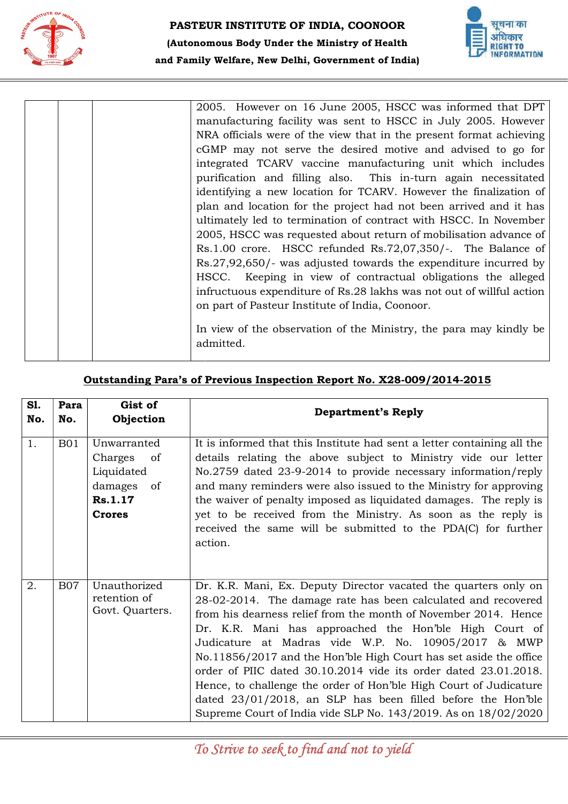



|  | 2005. However on 16 June 2005, HSCC was informed that DPT            |
|--|----------------------------------------------------------------------|
|  | manufacturing facility was sent to HSCC in July 2005. However        |
|  | NRA officials were of the view that in the present format achieving  |
|  | cGMP may not serve the desired motive and advised to go for          |
|  | integrated TCARV vaccine manufacturing unit which includes           |
|  | purification and filling also. This in-turn again necessitated       |
|  | identifying a new location for TCARV. However the finalization of    |
|  | plan and location for the project had not been arrived and it has    |
|  | ultimately led to termination of contract with HSCC. In November     |
|  | 2005, HSCC was requested about return of mobilisation advance of     |
|  | Rs.1.00 crore. HSCC refunded Rs.72,07,350/-. The Balance of          |
|  | $Rs.27,92,650/$ - was adjusted towards the expenditure incurred by   |
|  | HSCC. Keeping in view of contractual obligations the alleged         |
|  | infructuous expenditure of Rs.28 lakhs was not out of willful action |
|  | on part of Pasteur Institute of India, Coonoor.                      |
|  |                                                                      |
|  | In view of the observation of the Ministry, the para may kindly be   |
|  | admitted.                                                            |
|  |                                                                      |

### Outstanding Para's of Previous Inspection Report No. X28-009/2014-2015

|     |            |                                                                                         | 2005. However on 16 June 2005, HSCC was informed that DPT<br>manufacturing facility was sent to HSCC in July 2005. However<br>NRA officials were of the view that in the present format achieving<br>cGMP may not serve the desired motive and advised to go for<br>integrated TCARV vaccine manufacturing unit which includes<br>purification and filling also. This in-turn again necessitated<br>identifying a new location for TCARV. However the finalization of<br>plan and location for the project had not been arrived and it has<br>ultimately led to termination of contract with HSCC. In November<br>2005, HSCC was requested about return of mobilisation advance of<br>Rs.1.00 crore. HSCC refunded Rs.72,07,350/-. The Balance of<br>$Rs.27,92,650/$ - was adjusted towards the expenditure incurred by<br>Keeping in view of contractual obligations the alleged<br>HSCC.<br>infructuous expenditure of Rs.28 lakhs was not out of willful action<br>on part of Pasteur Institute of India, Coonoor.<br>In view of the observation of the Ministry, the para may kindly be<br>admitted. |
|-----|------------|-----------------------------------------------------------------------------------------|----------------------------------------------------------------------------------------------------------------------------------------------------------------------------------------------------------------------------------------------------------------------------------------------------------------------------------------------------------------------------------------------------------------------------------------------------------------------------------------------------------------------------------------------------------------------------------------------------------------------------------------------------------------------------------------------------------------------------------------------------------------------------------------------------------------------------------------------------------------------------------------------------------------------------------------------------------------------------------------------------------------------------------------------------------------------------------------------------------|
| S1. | Para       | Gist of                                                                                 | Outstanding Para's of Previous Inspection Report No. X28-009/2014-2015                                                                                                                                                                                                                                                                                                                                                                                                                                                                                                                                                                                                                                                                                                                                                                                                                                                                                                                                                                                                                                   |
| No. | No.        | Objection                                                                               | <b>Department's Reply</b>                                                                                                                                                                                                                                                                                                                                                                                                                                                                                                                                                                                                                                                                                                                                                                                                                                                                                                                                                                                                                                                                                |
| 1.  | <b>B01</b> | Unwarranted<br>Charges<br>of<br>Liquidated<br>damages<br>of<br>Rs.1.17<br><b>Crores</b> | It is informed that this Institute had sent a letter containing all the<br>details relating the above subject to Ministry vide our letter<br>No.2759 dated 23-9-2014 to provide necessary information/reply<br>and many reminders were also issued to the Ministry for approving<br>the waiver of penalty imposed as liquidated damages. The reply is<br>yet to be received from the Ministry. As soon as the reply is<br>received the same will be submitted to the PDA(C) for further<br>action.                                                                                                                                                                                                                                                                                                                                                                                                                                                                                                                                                                                                       |
| 2.  | <b>B07</b> | Unauthorized<br>retention of<br>Govt. Quarters.                                         | Dr. K.R. Mani, Ex. Deputy Director vacated the quarters only on<br>28-02-2014. The damage rate has been calculated and recovered<br>from his dearness relief from the month of November 2014. Hence<br>Dr. K.R. Mani has approached the Hon'ble High Court of<br>Judicature at Madras vide W.P. No. 10905/2017 & MWP<br>No.11856/2017 and the Hon'ble High Court has set aside the office<br>order of PIIC dated 30.10.2014 vide its order dated 23.01.2018.<br>Hence, to challenge the order of Hon'ble High Court of Judicature<br>dated 23/01/2018, an SLP has been filled before the Hon'ble<br>Supreme Court of India vide SLP No. 143/2019. As on 18/02/2020                                                                                                                                                                                                                                                                                                                                                                                                                                       |
|     |            |                                                                                         | To Strive to seek to find and not to yield                                                                                                                                                                                                                                                                                                                                                                                                                                                                                                                                                                                                                                                                                                                                                                                                                                                                                                                                                                                                                                                               |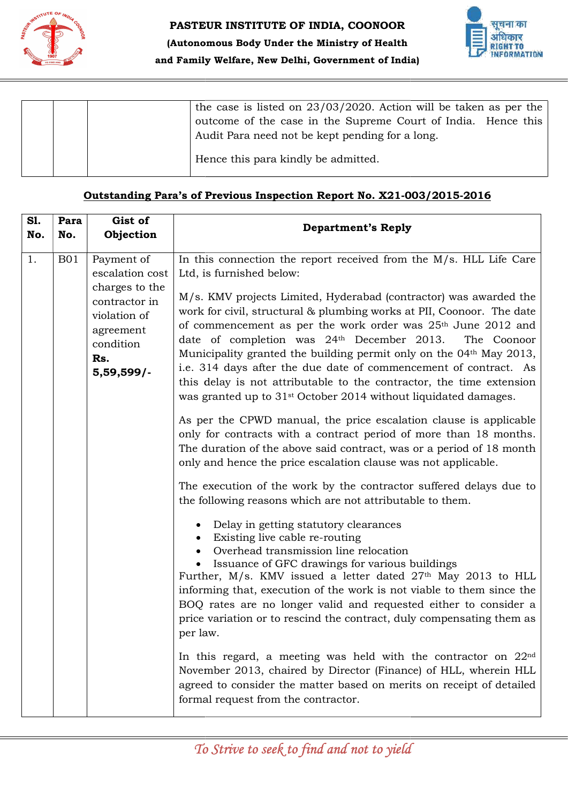



|  |  | the case is listed on $23/03/2020$ . Action will be taken as per the |
|--|--|----------------------------------------------------------------------|
|  |  | outcome of the case in the Supreme Court of India. Hence this        |
|  |  | Audit Para need not be kept pending for a long.                      |
|  |  | Hence this para kindly be admitted.                                  |

#### Outstanding Para's of Previous Inspection Report No. X21-003/2015-2016

|            |             |                                                                                                                                 | the case is listed on $23/03/2020$ . Action will be taken as per the<br>outcome of the case in the Supreme Court of India. Hence this<br>Audit Para need not be kept pending for a long.                                                                                                                                                                                                                                                                                                                                                                                                                                                                                                                                                                                                                                                                                                                                                                                                                                                                                                                                                                                                                                                                                                                                                                                                                                                                                                                                                                                                                                                                                                                                                                                                                                                                       |
|------------|-------------|---------------------------------------------------------------------------------------------------------------------------------|----------------------------------------------------------------------------------------------------------------------------------------------------------------------------------------------------------------------------------------------------------------------------------------------------------------------------------------------------------------------------------------------------------------------------------------------------------------------------------------------------------------------------------------------------------------------------------------------------------------------------------------------------------------------------------------------------------------------------------------------------------------------------------------------------------------------------------------------------------------------------------------------------------------------------------------------------------------------------------------------------------------------------------------------------------------------------------------------------------------------------------------------------------------------------------------------------------------------------------------------------------------------------------------------------------------------------------------------------------------------------------------------------------------------------------------------------------------------------------------------------------------------------------------------------------------------------------------------------------------------------------------------------------------------------------------------------------------------------------------------------------------------------------------------------------------------------------------------------------------|
|            |             |                                                                                                                                 | Hence this para kindly be admitted.                                                                                                                                                                                                                                                                                                                                                                                                                                                                                                                                                                                                                                                                                                                                                                                                                                                                                                                                                                                                                                                                                                                                                                                                                                                                                                                                                                                                                                                                                                                                                                                                                                                                                                                                                                                                                            |
|            |             |                                                                                                                                 | Outstanding Para's of Previous Inspection Report No. X21-003/2015-2016                                                                                                                                                                                                                                                                                                                                                                                                                                                                                                                                                                                                                                                                                                                                                                                                                                                                                                                                                                                                                                                                                                                                                                                                                                                                                                                                                                                                                                                                                                                                                                                                                                                                                                                                                                                         |
| S1.<br>No. | Para<br>No. | Gist of<br>Objection                                                                                                            | <b>Department's Reply</b>                                                                                                                                                                                                                                                                                                                                                                                                                                                                                                                                                                                                                                                                                                                                                                                                                                                                                                                                                                                                                                                                                                                                                                                                                                                                                                                                                                                                                                                                                                                                                                                                                                                                                                                                                                                                                                      |
| 1.         | <b>B01</b>  | Payment of<br>escalation cost<br>charges to the<br>contractor in<br>violation of<br>agreement<br>condition<br>Rs.<br>5,59,599/- | In this connection the report received from the $M/s$ . HLL Life Care<br>Ltd, is furnished below:<br>M/s. KMV projects Limited, Hyderabad (contractor) was awarded the<br>work for civil, structural & plumbing works at PII, Coonoor. The date<br>of commencement as per the work order was 25 <sup>th</sup> June 2012 and<br>date of completion was 24th December 2013.<br>The Coonoor<br>Municipality granted the building permit only on the 04 <sup>th</sup> May 2013,<br>i.e. 314 days after the due date of commencement of contract. As<br>this delay is not attributable to the contractor, the time extension<br>was granted up to 31 <sup>st</sup> October 2014 without liquidated damages.<br>As per the CPWD manual, the price escalation clause is applicable<br>only for contracts with a contract period of more than 18 months.<br>The duration of the above said contract, was or a period of 18 month<br>only and hence the price escalation clause was not applicable.<br>The execution of the work by the contractor suffered delays due to<br>the following reasons which are not attributable to them.<br>Delay in getting statutory clearances<br>Existing live cable re-routing<br>Overhead transmission line relocation<br>Issuance of GFC drawings for various buildings<br>Further, M/s. KMV issued a letter dated $27th$ May 2013 to HLL<br>informing that, execution of the work is not viable to them since the<br>BOQ rates are no longer valid and requested either to consider a<br>price variation or to rescind the contract, duly compensating them as<br>per law.<br>In this regard, a meeting was held with the contractor on $22nd$<br>November 2013, chaired by Director (Finance) of HLL, wherein HLL<br>agreed to consider the matter based on merits on receipt of detailed<br>formal request from the contractor. |
|            |             |                                                                                                                                 | To Strive to seek to find and not to yield                                                                                                                                                                                                                                                                                                                                                                                                                                                                                                                                                                                                                                                                                                                                                                                                                                                                                                                                                                                                                                                                                                                                                                                                                                                                                                                                                                                                                                                                                                                                                                                                                                                                                                                                                                                                                     |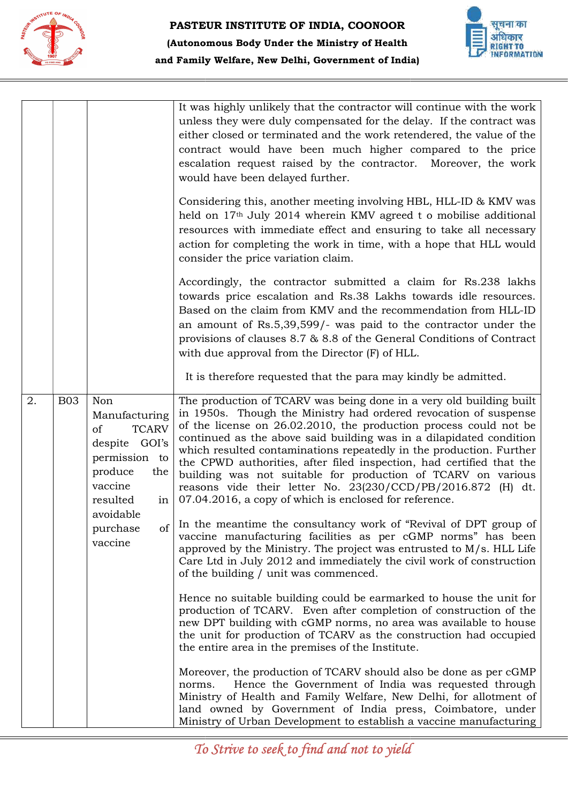



|                  |                                                                                                                             | and Family Welfare, New Delhi, Government of India)                                                                                                                                                                                                                                                                                                                                                                                                                                                                                                                                                                          |
|------------------|-----------------------------------------------------------------------------------------------------------------------------|------------------------------------------------------------------------------------------------------------------------------------------------------------------------------------------------------------------------------------------------------------------------------------------------------------------------------------------------------------------------------------------------------------------------------------------------------------------------------------------------------------------------------------------------------------------------------------------------------------------------------|
|                  |                                                                                                                             | It was highly unlikely that the contractor will continue with the work<br>unless they were duly compensated for the delay. If the contract was<br>either closed or terminated and the work retendered, the value of the<br>contract would have been much higher compared to the price<br>escalation request raised by the contractor. Moreover, the work<br>would have been delayed further.                                                                                                                                                                                                                                 |
|                  |                                                                                                                             | Considering this, another meeting involving HBL, HLL-ID & KMV was<br>held on 17 <sup>th</sup> July 2014 wherein KMV agreed t o mobilise additional<br>resources with immediate effect and ensuring to take all necessary<br>action for completing the work in time, with a hope that HLL would<br>consider the price variation claim.                                                                                                                                                                                                                                                                                        |
|                  |                                                                                                                             | Accordingly, the contractor submitted a claim for Rs.238 lakhs<br>towards price escalation and Rs.38 Lakhs towards idle resources.<br>Based on the claim from KMV and the recommendation from HLL-ID<br>an amount of Rs.5,39,599/- was paid to the contractor under the<br>provisions of clauses 8.7 & 8.8 of the General Conditions of Contract<br>with due approval from the Director (F) of HLL.                                                                                                                                                                                                                          |
|                  |                                                                                                                             | It is therefore requested that the para may kindly be admitted.                                                                                                                                                                                                                                                                                                                                                                                                                                                                                                                                                              |
| 2.<br><b>B03</b> | Non<br>Manufacturing<br>of<br><b>TCARV</b><br>despite GOI's<br>permission to<br>produce<br>the<br>vaccine<br>resulted<br>in | The production of TCARV was being done in a very old building built<br>in 1950s. Though the Ministry had ordered revocation of suspense<br>of the license on 26.02.2010, the production process could not be<br>continued as the above said building was in a dilapidated condition<br>which resulted contaminations repeatedly in the production. Further<br>the CPWD authorities, after filed inspection, had certified that the<br>building was not suitable for production of TCARV on various<br>reasons vide their letter No. 23(230/CCD/PB/2016.872 (H) dt.<br>07.04.2016, a copy of which is enclosed for reference. |
|                  | avoidable<br>of<br>purchase<br>vaccine                                                                                      | In the meantime the consultancy work of "Revival of DPT group of<br>vaccine manufacturing facilities as per cGMP norms" has been<br>approved by the Ministry. The project was entrusted to $M/s$ . HLL Life<br>Care Ltd in July 2012 and immediately the civil work of construction<br>of the building / unit was commenced.                                                                                                                                                                                                                                                                                                 |
|                  |                                                                                                                             | Hence no suitable building could be earmarked to house the unit for<br>production of TCARV. Even after completion of construction of the<br>new DPT building with cGMP norms, no area was available to house<br>the unit for production of TCARV as the construction had occupied<br>the entire area in the premises of the Institute.                                                                                                                                                                                                                                                                                       |
|                  |                                                                                                                             | Moreover, the production of TCARV should also be done as per cGMP<br>Hence the Government of India was requested through<br>norms.<br>Ministry of Health and Family Welfare, New Delhi, for allotment of<br>land owned by Government of India press, Coimbatore, under<br>Ministry of Urban Development to establish a vaccine manufacturing                                                                                                                                                                                                                                                                                 |
|                  |                                                                                                                             | To Strive to seek to find and not to yield                                                                                                                                                                                                                                                                                                                                                                                                                                                                                                                                                                                   |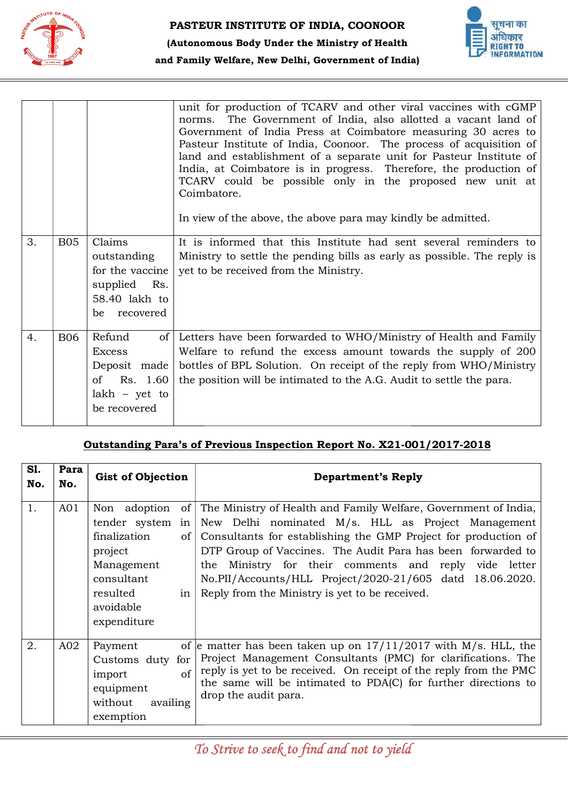



|            |                 |                                                                                                                 |               | unit for production of TCARV and other viral vaccines with cGMP<br>The Government of India, also allotted a vacant land of<br>norms.<br>Government of India Press at Coimbatore measuring 30 acres to<br>Pasteur Institute of India, Coonoor. The process of acquisition of<br>land and establishment of a separate unit for Pasteur Institute of<br>India, at Coimbatore is in progress. Therefore, the production of<br>TCARV could be possible only in the proposed new unit at<br>Coimbatore.<br>In view of the above, the above para may kindly be admitted. |
|------------|-----------------|-----------------------------------------------------------------------------------------------------------------|---------------|-------------------------------------------------------------------------------------------------------------------------------------------------------------------------------------------------------------------------------------------------------------------------------------------------------------------------------------------------------------------------------------------------------------------------------------------------------------------------------------------------------------------------------------------------------------------|
| 3.         | <b>B05</b>      | Claims<br>outstanding<br>for the vaccine<br>supplied<br>Rs.<br>58.40 lakh to<br>recovered<br>be                 |               | It is informed that this Institute had sent several reminders to<br>Ministry to settle the pending bills as early as possible. The reply is<br>yet to be received from the Ministry.                                                                                                                                                                                                                                                                                                                                                                              |
| 4.         | <b>B06</b>      | Refund<br>of <sub>l</sub><br><b>Excess</b><br>Deposit made<br>of<br>Rs. 1.60<br>$lakh - yet to$<br>be recovered |               | Letters have been forwarded to WHO/Ministry of Health and Family<br>Welfare to refund the excess amount towards the supply of 200<br>bottles of BPL Solution. On receipt of the reply from WHO/Ministry<br>the position will be intimated to the A.G. Audit to settle the para.                                                                                                                                                                                                                                                                                   |
|            |                 |                                                                                                                 |               |                                                                                                                                                                                                                                                                                                                                                                                                                                                                                                                                                                   |
|            |                 |                                                                                                                 |               | Outstanding Para's of Previous Inspection Report No. X21-001/2017-2018                                                                                                                                                                                                                                                                                                                                                                                                                                                                                            |
| S1.<br>No. | Para<br>No.     | <b>Gist of Objection</b>                                                                                        |               | <b>Department's Reply</b>                                                                                                                                                                                                                                                                                                                                                                                                                                                                                                                                         |
| 1.         | A <sub>01</sub> | finalization<br>project<br>Management<br>consultant<br>resulted<br>avoidable<br>expenditure                     | of  <br>in    | Non adoption of The Ministry of Health and Family Welfare, Government of India,<br>tender system in New Delhi nominated $M/s$ . HLL as Project Management<br>Consultants for establishing the GMP Project for production of<br>DTP Group of Vaccines. The Audit Para has been forwarded to<br>the Ministry for their comments and reply vide letter<br>No.PII/Accounts/HLL Project/2020-21/605 datd 18.06.2020.<br>Reply from the Ministry is yet to be received.                                                                                                 |
| 2.         | A02             | Payment<br>Customs duty for<br>import<br>equipment<br>without<br>availing<br>exemption                          | <sub>of</sub> | of e matter has been taken up on $17/11/2017$ with M/s. HLL, the<br>Project Management Consultants (PMC) for clarifications. The<br>reply is yet to be received. On receipt of the reply from the PMC<br>the same will be intimated to PDA(C) for further directions to<br>drop the audit para.                                                                                                                                                                                                                                                                   |

# Outstanding Para's of Previous Inspection Report No. X21-001/2017-2018

| S1.<br>No. | Para<br>No.     | <b>Gist of Objection</b>                                                                                                                                                                    | <b>Department's Reply</b>                                                                                                                                                                                                                                                                                                                                                                                                        |  |
|------------|-----------------|---------------------------------------------------------------------------------------------------------------------------------------------------------------------------------------------|----------------------------------------------------------------------------------------------------------------------------------------------------------------------------------------------------------------------------------------------------------------------------------------------------------------------------------------------------------------------------------------------------------------------------------|--|
| 1.         | AO1             | Non adoption<br>of <sub>1</sub><br>tender system<br>in<br>finalization<br>of <sub>1</sub><br>project<br>Management<br>consultant<br>resulted<br>in <sub>1</sub><br>avoidable<br>expenditure | The Ministry of Health and Family Welfare, Government of India,<br>New Delhi nominated M/s. HLL as Project Management<br>Consultants for establishing the GMP Project for production of<br>DTP Group of Vaccines. The Audit Para has been forwarded to<br>Ministry for their comments and reply vide letter<br>the<br>No.PII/Accounts/HLL Project/2020-21/605 datd 18.06.2020.<br>Reply from the Ministry is yet to be received. |  |
| 2.         | A <sub>02</sub> | Payment<br>Customs duty for<br>$\sigma$<br>import<br>equipment<br>without<br>availing<br>exemption                                                                                          | of e matter has been taken up on $17/11/2017$ with M/s. HLL, the<br>Project Management Consultants (PMC) for clarifications. The<br>reply is yet to be received. On receipt of the reply from the PMC<br>the same will be intimated to PDA(C) for further directions to<br>drop the audit para.                                                                                                                                  |  |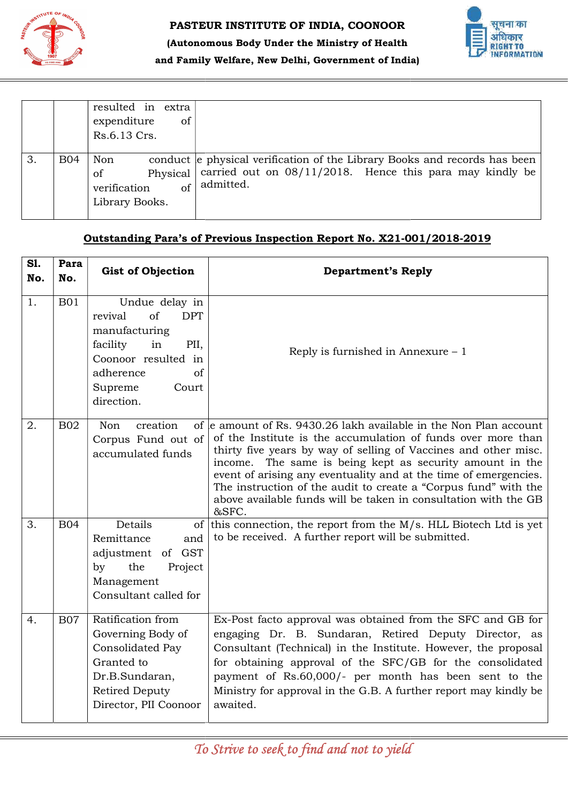



|            | resulted in extra<br>expenditure<br>of<br>Rs.6.13 Crs. |                                                                                                                                                             |
|------------|--------------------------------------------------------|-------------------------------------------------------------------------------------------------------------------------------------------------------------|
| <b>B04</b> | Non<br>οf<br>of<br>verification<br>Library Books.      | conduct e physical verification of the Library Books and records has been<br>Physical carried out on 08/11/2018. Hence this para may kindly be<br>admitted. |

#### Outstanding Para's of Previous Inspection Report No. X21-001/2018-2019

| 3.         | <b>B04</b>                                                             | Non<br>Physical<br>of<br><sub>of</sub><br>verification<br>Library Books.                                                                                             | conduct e physical verification of the Library Books and records has been<br>carried out on $08/11/2018$ . Hence this para may kindly be<br>admitted.                                                                                                                                                                                                                                                                                                                                  |  |  |  |
|------------|------------------------------------------------------------------------|----------------------------------------------------------------------------------------------------------------------------------------------------------------------|----------------------------------------------------------------------------------------------------------------------------------------------------------------------------------------------------------------------------------------------------------------------------------------------------------------------------------------------------------------------------------------------------------------------------------------------------------------------------------------|--|--|--|
|            | Outstanding Para's of Previous Inspection Report No. X21-001/2018-2019 |                                                                                                                                                                      |                                                                                                                                                                                                                                                                                                                                                                                                                                                                                        |  |  |  |
| S1.<br>No. | Para<br>No.                                                            | <b>Gist of Objection</b>                                                                                                                                             | <b>Department's Reply</b>                                                                                                                                                                                                                                                                                                                                                                                                                                                              |  |  |  |
| 1.         | <b>B01</b>                                                             | Undue delay in<br>of<br><b>DPT</b><br>revival<br>manufacturing<br>facility<br>in<br>PII,<br>Coonoor resulted in<br>adherence<br>of<br>Supreme<br>Court<br>direction. | Reply is furnished in Annexure $-1$                                                                                                                                                                                                                                                                                                                                                                                                                                                    |  |  |  |
| 2.         | <b>B02</b>                                                             | creation<br>Non<br>Corpus Fund out of<br>accumulated funds                                                                                                           | of e amount of Rs. 9430.26 lakh available in the Non Plan account<br>of the Institute is the accumulation of funds over more than<br>thirty five years by way of selling of Vaccines and other misc.<br>The same is being kept as security amount in the<br>income.<br>event of arising any eventuality and at the time of emergencies.<br>The instruction of the audit to create a "Corpus fund" with the<br>above available funds will be taken in consultation with the GB<br>&SFC. |  |  |  |
| 3.         | <b>B04</b>                                                             | Details<br>of<br>Remittance<br>and<br>of GST<br>adjustment<br>the<br>by<br>Project<br>Management<br>Consultant called for                                            | this connection, the report from the M/s. HLL Biotech Ltd is yet<br>to be received. A further report will be submitted.                                                                                                                                                                                                                                                                                                                                                                |  |  |  |
| 4.         | <b>B07</b>                                                             | Ratification from<br>Governing Body of<br>Consolidated Pay<br>Granted to<br>Dr.B.Sundaran,<br><b>Retired Deputy</b><br>Director, PII Coonoor                         | Ex-Post facto approval was obtained from the SFC and GB for<br>engaging Dr. B. Sundaran, Retired Deputy Director, as<br>Consultant (Technical) in the Institute. However, the proposal<br>for obtaining approval of the SFC/GB for the consolidated<br>payment of Rs.60,000/- per month has been sent to the<br>Ministry for approval in the G.B. A further report may kindly be<br>awaited.                                                                                           |  |  |  |
|            |                                                                        |                                                                                                                                                                      | To Strive to seek to find and not to yield                                                                                                                                                                                                                                                                                                                                                                                                                                             |  |  |  |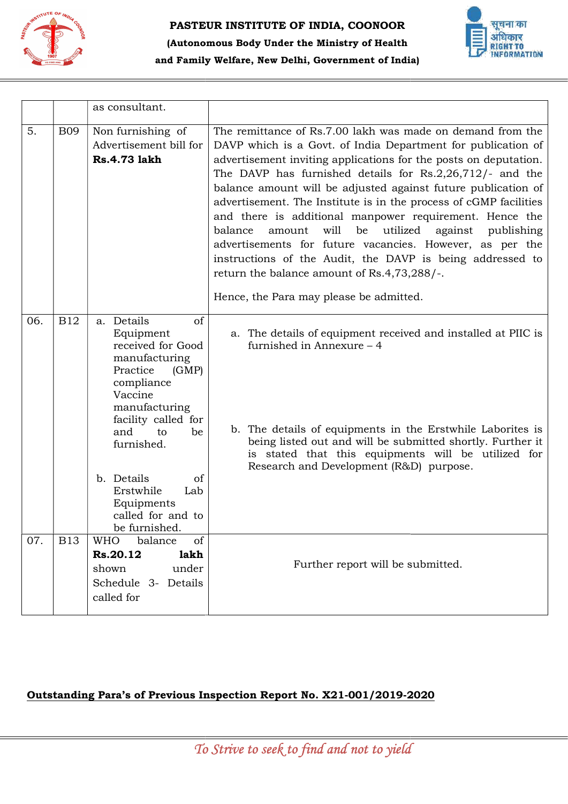



|     |                                                                        | as consultant.                                                                                                                                                                                                                                                                         |                                                                                                                                                                                                                                                                                                                                                                                                                                                                                                                                                                                                                                                                                                                                                          |  |  |
|-----|------------------------------------------------------------------------|----------------------------------------------------------------------------------------------------------------------------------------------------------------------------------------------------------------------------------------------------------------------------------------|----------------------------------------------------------------------------------------------------------------------------------------------------------------------------------------------------------------------------------------------------------------------------------------------------------------------------------------------------------------------------------------------------------------------------------------------------------------------------------------------------------------------------------------------------------------------------------------------------------------------------------------------------------------------------------------------------------------------------------------------------------|--|--|
| 5.  | <b>B09</b>                                                             | Non furnishing of<br>Advertisement bill for<br><b>Rs.4.73 lakh</b>                                                                                                                                                                                                                     | The remittance of Rs.7.00 lakh was made on demand from the<br>DAVP which is a Govt. of India Department for publication of<br>advertisement inviting applications for the posts on deputation.<br>The DAVP has furnished details for $Rs.2,26,712/-$ and the<br>balance amount will be adjusted against future publication of<br>advertisement. The Institute is in the process of cGMP facilities<br>and there is additional manpower requirement. Hence the<br>balance<br>will<br>utilized<br>be<br>against<br>amount<br>publishing<br>advertisements for future vacancies. However, as per the<br>instructions of the Audit, the DAVP is being addressed to<br>return the balance amount of Rs.4,73,288/-.<br>Hence, the Para may please be admitted. |  |  |
| 06. | <b>B12</b>                                                             | a. Details<br>of<br>Equipment<br>received for Good<br>manufacturing<br>Practice<br>(GMP)<br>compliance<br>Vaccine<br>manufacturing<br>facility called for<br>and<br>be<br>to<br>furnished.<br>b. Details<br>of<br>Erstwhile<br>Lab<br>Equipments<br>called for and to<br>be furnished. | a. The details of equipment received and installed at PIIC is<br>furnished in Annexure - 4<br>b. The details of equipments in the Erstwhile Laborites is<br>being listed out and will be submitted shortly. Further it<br>is stated that this equipments will be utilized for<br>Research and Development (R&D) purpose.                                                                                                                                                                                                                                                                                                                                                                                                                                 |  |  |
| 07. | <b>B13</b>                                                             | of<br><b>WHO</b><br>balance<br>lakh<br>Rs.20.12<br>under<br>shown<br>Schedule 3- Details<br>called for                                                                                                                                                                                 | Further report will be submitted.                                                                                                                                                                                                                                                                                                                                                                                                                                                                                                                                                                                                                                                                                                                        |  |  |
|     | Outstanding Para's of Previous Inspection Report No. X21-001/2019-2020 |                                                                                                                                                                                                                                                                                        |                                                                                                                                                                                                                                                                                                                                                                                                                                                                                                                                                                                                                                                                                                                                                          |  |  |
|     | To Strive to seek to find and not to yield                             |                                                                                                                                                                                                                                                                                        |                                                                                                                                                                                                                                                                                                                                                                                                                                                                                                                                                                                                                                                                                                                                                          |  |  |

# Outstanding Para's of Previous Inspection Report No. X21-001/2019-2020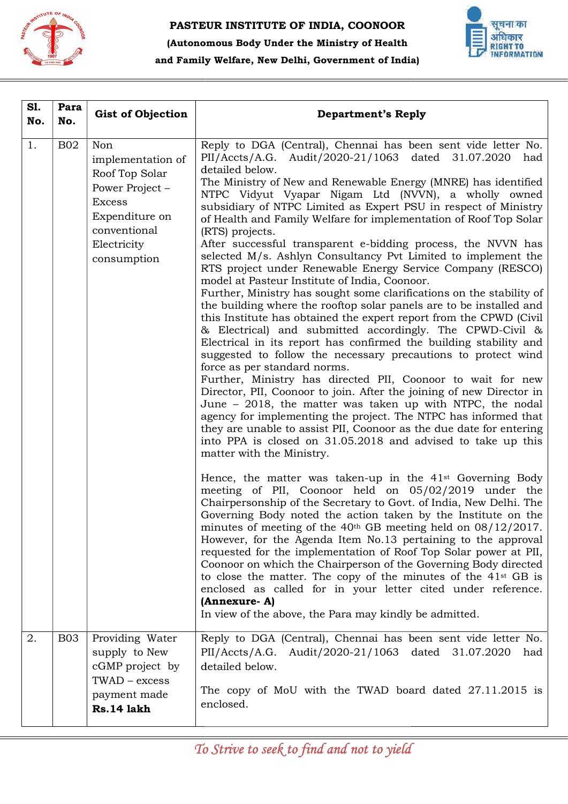



### (Autonomous Body Under the Ministry of Health and Family Welfare, New Delhi, Government of India)

| <b>B02</b> | Non<br>implementation of<br>Roof Top Solar<br>Power Project -<br><b>Excess</b><br>Expenditure on<br>conventional | Reply to DGA (Central), Chennai has been sent vide letter No.<br>PII/Accts/A.G. Audit/2020-21/1063 dated 31.07.2020<br>had<br>detailed below.<br>The Ministry of New and Renewable Energy (MNRE) has identified<br>NTPC Vidyut Vyapar Nigam Ltd (NVVN), a wholly owned<br>subsidiary of NTPC Limited as Expert PSU in respect of Ministry                                                                                                                                                                                                                                                                                                                                                                                                                                                                                                                                                                                                                                                                                                                                                                                                                                                                                                                                                                                                                                                                                                                                                                                                                                                                                                                                                                                                                                                                                                                                                                                                                                                                                       |
|------------|------------------------------------------------------------------------------------------------------------------|---------------------------------------------------------------------------------------------------------------------------------------------------------------------------------------------------------------------------------------------------------------------------------------------------------------------------------------------------------------------------------------------------------------------------------------------------------------------------------------------------------------------------------------------------------------------------------------------------------------------------------------------------------------------------------------------------------------------------------------------------------------------------------------------------------------------------------------------------------------------------------------------------------------------------------------------------------------------------------------------------------------------------------------------------------------------------------------------------------------------------------------------------------------------------------------------------------------------------------------------------------------------------------------------------------------------------------------------------------------------------------------------------------------------------------------------------------------------------------------------------------------------------------------------------------------------------------------------------------------------------------------------------------------------------------------------------------------------------------------------------------------------------------------------------------------------------------------------------------------------------------------------------------------------------------------------------------------------------------------------------------------------------------|
|            | Electricity<br>consumption                                                                                       | of Health and Family Welfare for implementation of Roof Top Solar<br>(RTS) projects.<br>After successful transparent e-bidding process, the NVVN has<br>selected M/s. Ashlyn Consultancy Pvt Limited to implement the<br>RTS project under Renewable Energy Service Company (RESCO)<br>model at Pasteur Institute of India, Coonoor.<br>Further, Ministry has sought some clarifications on the stability of<br>the building where the rooftop solar panels are to be installed and<br>this Institute has obtained the expert report from the CPWD (Civil<br>& Electrical) and submitted accordingly. The CPWD-Civil &<br>Electrical in its report has confirmed the building stability and<br>suggested to follow the necessary precautions to protect wind<br>force as per standard norms.<br>Further, Ministry has directed PII, Coonoor to wait for new<br>Director, PII, Coonoor to join. After the joining of new Director in<br>June - 2018, the matter was taken up with NTPC, the nodal<br>agency for implementing the project. The NTPC has informed that<br>they are unable to assist PII, Coonoor as the due date for entering<br>into PPA is closed on 31.05.2018 and advised to take up this<br>matter with the Ministry.<br>Hence, the matter was taken-up in the 41 <sup>st</sup> Governing Body<br>meeting of PII, Coonoor held on 05/02/2019 under the<br>Chairpersonship of the Secretary to Govt. of India, New Delhi. The<br>Governing Body noted the action taken by the Institute on the<br>minutes of meeting of the 40 <sup>th</sup> GB meeting held on $08/12/2017$ .<br>However, for the Agenda Item No.13 pertaining to the approval<br>requested for the implementation of Roof Top Solar power at PII,<br>Coonoor on which the Chairperson of the Governing Body directed<br>to close the matter. The copy of the minutes of the 41 <sup>st</sup> GB is<br>enclosed as called for in your letter cited under reference.<br>(Annexure-A)<br>In view of the above, the Para may kindly be admitted. |
| <b>B03</b> | Providing Water<br>supply to New<br>cGMP project by<br>$TWAD - excess$<br>payment made<br>Rs.14 lakh             | Reply to DGA (Central), Chennai has been sent vide letter No.<br>PII/Accts/A.G. Audit/2020-21/1063 dated 31.07.2020<br>had<br>detailed below.<br>The copy of MoU with the TWAD board dated 27.11.2015 is<br>enclosed.                                                                                                                                                                                                                                                                                                                                                                                                                                                                                                                                                                                                                                                                                                                                                                                                                                                                                                                                                                                                                                                                                                                                                                                                                                                                                                                                                                                                                                                                                                                                                                                                                                                                                                                                                                                                           |
|            |                                                                                                                  | To Strive to seek to find and not to yield                                                                                                                                                                                                                                                                                                                                                                                                                                                                                                                                                                                                                                                                                                                                                                                                                                                                                                                                                                                                                                                                                                                                                                                                                                                                                                                                                                                                                                                                                                                                                                                                                                                                                                                                                                                                                                                                                                                                                                                      |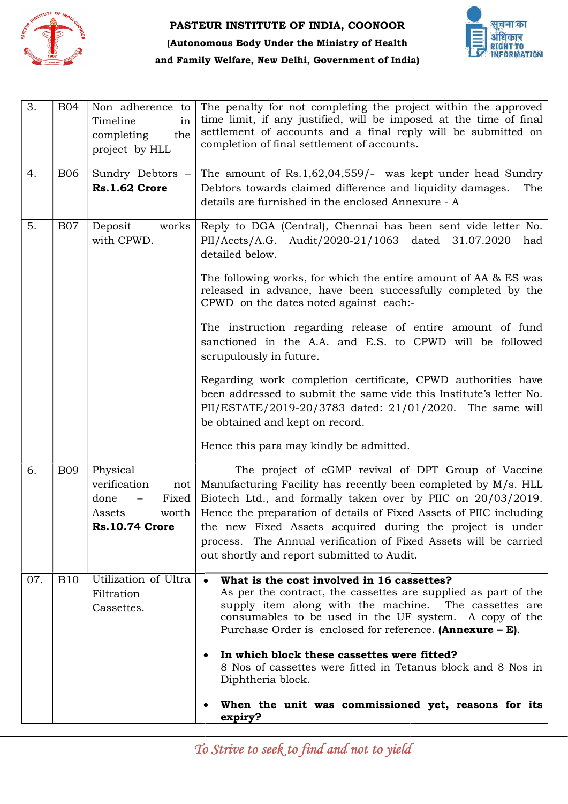



| 3.  | <b>B04</b> | Non adherence to<br>Timeline<br>in<br>completing<br>the<br>project by HLL                    | The penalty for not completing the project within the approved<br>time limit, if any justified, will be imposed at the time of final<br>settlement of accounts and a final reply will be submitted on<br>completion of final settlement of accounts.                                                                                                                                                                                       |
|-----|------------|----------------------------------------------------------------------------------------------|--------------------------------------------------------------------------------------------------------------------------------------------------------------------------------------------------------------------------------------------------------------------------------------------------------------------------------------------------------------------------------------------------------------------------------------------|
| 4.  | <b>B06</b> | Sundry Debtors -<br>Rs.1.62 Crore                                                            | The amount of Rs.1,62,04,559/- was kept under head Sundry<br>Debtors towards claimed difference and liquidity damages.<br>The<br>details are furnished in the enclosed Annexure - A                                                                                                                                                                                                                                                        |
| 5.  | <b>B07</b> | Deposit<br>works  <br>with CPWD.                                                             | Reply to DGA (Central), Chennai has been sent vide letter No.<br>PII/Accts/A.G. Audit/2020-21/1063 dated 31.07.2020<br>had<br>detailed below.                                                                                                                                                                                                                                                                                              |
|     |            |                                                                                              | The following works, for which the entire amount of AA & ES was<br>released in advance, have been successfully completed by the<br>CPWD on the dates noted against each:-                                                                                                                                                                                                                                                                  |
|     |            |                                                                                              | The instruction regarding release of entire amount of fund<br>sanctioned in the A.A. and E.S. to CPWD will be followed<br>scrupulously in future.                                                                                                                                                                                                                                                                                          |
|     |            |                                                                                              | Regarding work completion certificate, CPWD authorities have<br>been addressed to submit the same vide this Institute's letter No.<br>PII/ESTATE/2019-20/3783 dated: 21/01/2020. The same will<br>be obtained and kept on record.                                                                                                                                                                                                          |
|     |            |                                                                                              | Hence this para may kindly be admitted.                                                                                                                                                                                                                                                                                                                                                                                                    |
| 6.  | <b>B09</b> | Physical<br>verification<br>not<br>done<br>Fixed<br>worth<br>Assets<br><b>Rs.10.74 Crore</b> | The project of cGMP revival of DPT Group of Vaccine<br>Manufacturing Facility has recently been completed by M/s. HLL<br>Biotech Ltd., and formally taken over by PIIC on 20/03/2019.<br>Hence the preparation of details of Fixed Assets of PIIC including<br>the new Fixed Assets acquired during the project is under<br>process. The Annual verification of Fixed Assets will be carried<br>out shortly and report submitted to Audit. |
| 07. | <b>B10</b> | Utilization of Ultra<br>Filtration<br>Cassettes.                                             | What is the cost involved in 16 cassettes?<br>$\bullet$<br>As per the contract, the cassettes are supplied as part of the<br>supply item along with the machine. The cassettes are<br>consumables to be used in the UF system. A copy of the<br>Purchase Order is enclosed for reference. (Annexure $- E$ ).                                                                                                                               |
|     |            |                                                                                              | In which block these cassettes were fitted?<br>٠<br>8 Nos of cassettes were fitted in Tetanus block and 8 Nos in<br>Diphtheria block.                                                                                                                                                                                                                                                                                                      |
|     |            |                                                                                              | When the unit was commissioned yet, reasons for its<br>٠<br>expiry?                                                                                                                                                                                                                                                                                                                                                                        |
|     |            |                                                                                              | To Strive to seek to find and not to yield                                                                                                                                                                                                                                                                                                                                                                                                 |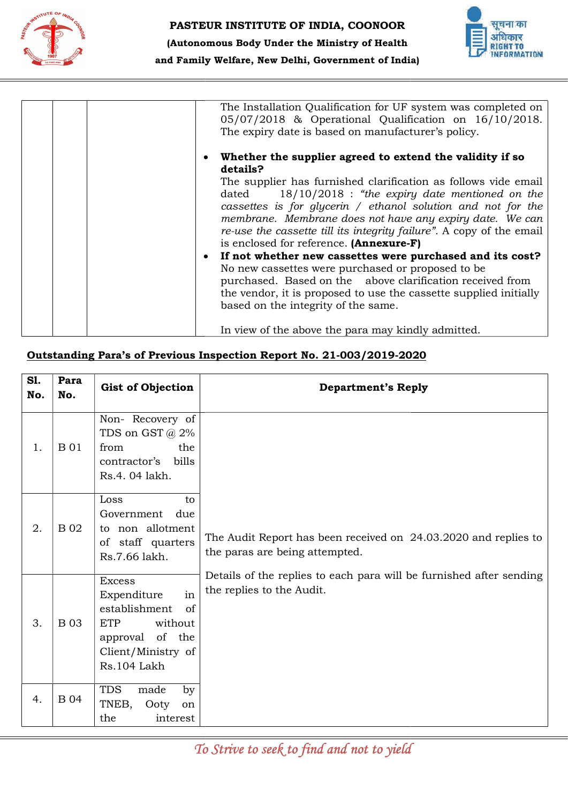



|            |             |                                                                                             | and Family Welfare, New Delhi, Government of India)<br><b>ALL AND AND RESIDENCE AND RESIDENTS</b>                                                                                                                                                                                                                                                                                                                                                                                                                                                                                                                                                                                                                                                                                                   |
|------------|-------------|---------------------------------------------------------------------------------------------|-----------------------------------------------------------------------------------------------------------------------------------------------------------------------------------------------------------------------------------------------------------------------------------------------------------------------------------------------------------------------------------------------------------------------------------------------------------------------------------------------------------------------------------------------------------------------------------------------------------------------------------------------------------------------------------------------------------------------------------------------------------------------------------------------------|
|            |             |                                                                                             | The Installation Qualification for UF system was completed on<br>05/07/2018 & Operational Qualification on 16/10/2018.<br>The expiry date is based on manufacturer's policy.                                                                                                                                                                                                                                                                                                                                                                                                                                                                                                                                                                                                                        |
|            |             |                                                                                             | Whether the supplier agreed to extend the validity if so<br>details?<br>The supplier has furnished clarification as follows vide email<br>$18/10/2018$ : "the expiry date mentioned on the<br>dated<br>cassettes is for glycerin / ethanol solution and not for the<br>membrane. Membrane does not have any expiry date. We can<br>re-use the cassette till its integrity failure". A copy of the email<br>is enclosed for reference. (Annexure-F)<br>If not whether new cassettes were purchased and its cost?<br>No new cassettes were purchased or proposed to be<br>purchased. Based on the above clarification received from<br>the vendor, it is proposed to use the cassette supplied initially<br>based on the integrity of the same.<br>In view of the above the para may kindly admitted. |
|            |             |                                                                                             | Outstanding Para's of Previous Inspection Report No. 21-003/2019-2020                                                                                                                                                                                                                                                                                                                                                                                                                                                                                                                                                                                                                                                                                                                               |
| SI.<br>No. | Para<br>No. | <b>Gist of Objection</b>                                                                    | <b>Department's Reply</b>                                                                                                                                                                                                                                                                                                                                                                                                                                                                                                                                                                                                                                                                                                                                                                           |
| 1.         | <b>B</b> 01 | Non-Recovery of<br>TDS on GST @ 2%<br>the<br>from<br>bills<br>contractor's<br>Rs.4.04 lakh. |                                                                                                                                                                                                                                                                                                                                                                                                                                                                                                                                                                                                                                                                                                                                                                                                     |
| 2.         | <b>B</b> 02 | Loss<br>to<br>due<br>Government<br>to non allotment<br>of staff quarters<br>Rs.7.66 lakh.   | The Audit Report has been received on 24.03.2020 and replies to<br>the paras are being attempted.                                                                                                                                                                                                                                                                                                                                                                                                                                                                                                                                                                                                                                                                                                   |
|            |             | <b>Excess</b><br>From and it line                                                           | Details of the replies to each para will be furnished after sending<br>the replies to the Audit.                                                                                                                                                                                                                                                                                                                                                                                                                                                                                                                                                                                                                                                                                                    |

|            |             |                                                                                                                                                  | The Installation Qualification for UF system was completed on<br>05/07/2018 & Operational Qualification on 16/10/2018.<br>The expiry date is based on manufacturer's policy.<br>Whether the supplier agreed to extend the validity if so<br>$\bullet$<br>details?                                                                                                                                                                                                                                                                                                                                                                                                                  |
|------------|-------------|--------------------------------------------------------------------------------------------------------------------------------------------------|------------------------------------------------------------------------------------------------------------------------------------------------------------------------------------------------------------------------------------------------------------------------------------------------------------------------------------------------------------------------------------------------------------------------------------------------------------------------------------------------------------------------------------------------------------------------------------------------------------------------------------------------------------------------------------|
|            |             |                                                                                                                                                  | The supplier has furnished clarification as follows vide email<br>$18/10/2018$ : "the expiry date mentioned on the<br>dated<br>cassettes is for glycerin / ethanol solution and not for the<br>membrane. Membrane does not have any expiry date. We can<br>re-use the cassette till its integrity failure". A copy of the email<br>is enclosed for reference. (Annexure-F)<br>If not whether new cassettes were purchased and its cost?<br>$\bullet$<br>No new cassettes were purchased or proposed to be<br>purchased. Based on the above clarification received from<br>the vendor, it is proposed to use the cassette supplied initially<br>based on the integrity of the same. |
|            |             |                                                                                                                                                  | In view of the above the para may kindly admitted.                                                                                                                                                                                                                                                                                                                                                                                                                                                                                                                                                                                                                                 |
|            |             |                                                                                                                                                  | Outstanding Para's of Previous Inspection Report No. 21-003/2019-2020                                                                                                                                                                                                                                                                                                                                                                                                                                                                                                                                                                                                              |
| S1.<br>No. | Para<br>No. | <b>Gist of Objection</b>                                                                                                                         | <b>Department's Reply</b>                                                                                                                                                                                                                                                                                                                                                                                                                                                                                                                                                                                                                                                          |
| 1.         | <b>B01</b>  | Non-Recovery of<br>TDS on GST @ 2%                                                                                                               |                                                                                                                                                                                                                                                                                                                                                                                                                                                                                                                                                                                                                                                                                    |
|            |             | from<br>the<br>contractor's<br>bills<br>Rs.4.04 lakh.                                                                                            |                                                                                                                                                                                                                                                                                                                                                                                                                                                                                                                                                                                                                                                                                    |
| 2          | <b>B</b> 02 | Loss<br>to<br>Government due<br>to non allotment<br>of staff quarters<br>Rs.7.66 lakh.                                                           | The Audit Report has been received on 24.03.2020 and replies to<br>the paras are being attempted.                                                                                                                                                                                                                                                                                                                                                                                                                                                                                                                                                                                  |
| 3.         | <b>B</b> 03 | <b>Excess</b><br>Expenditure<br>in<br>establishment<br>of<br><b>ETP</b><br>without<br>of<br>the<br>approval<br>Client/Ministry of<br>Rs.104 Lakh | Details of the replies to each para will be furnished after sending<br>the replies to the Audit.                                                                                                                                                                                                                                                                                                                                                                                                                                                                                                                                                                                   |
| 4.         | <b>B</b> 04 | <b>TDS</b><br>made<br>by<br>TNEB,<br>Ooty<br>on<br>interest<br>the                                                                               |                                                                                                                                                                                                                                                                                                                                                                                                                                                                                                                                                                                                                                                                                    |